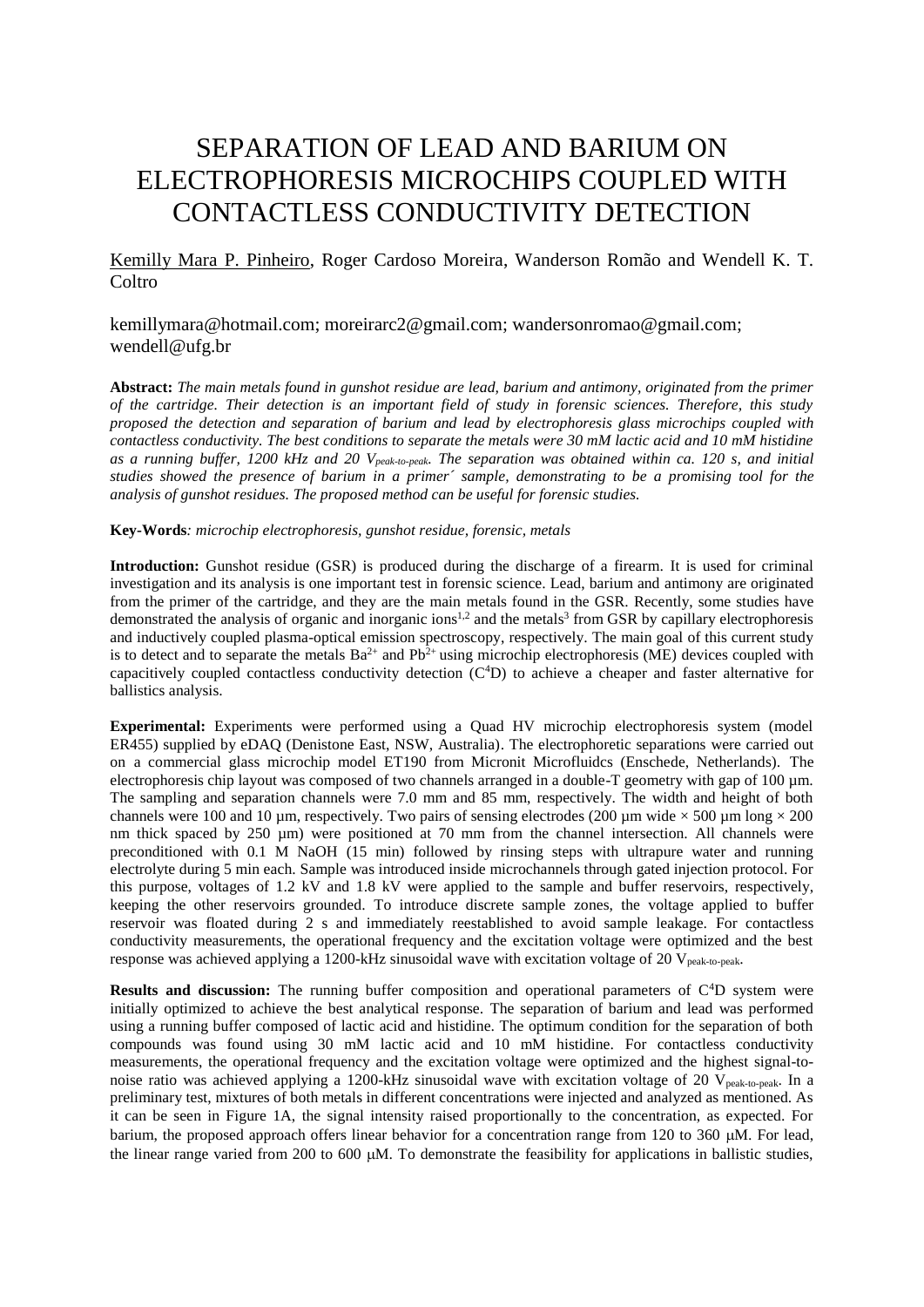## SEPARATION OF LEAD AND BARIUM ON ELECTROPHORESIS MICROCHIPS COUPLED WITH CONTACTLESS CONDUCTIVITY DETECTION

## Kemilly Mara P. Pinheiro, Roger Cardoso Moreira, Wanderson Romão and Wendell K. T. **Coltro**

## [kemillymara@hotmail.com;](mailto:kemillymara@hotmail.com) [moreirarc2@gmail.com;](mailto:moreirarc2@gmail.com) wandersonromao@gmail.com; wendell@ufg.br

**Abstract:** *The main metals found in gunshot residue are lead, barium and antimony, originated from the primer of the cartridge. Their detection is an important field of study in forensic sciences. Therefore, this study proposed the detection and separation of barium and lead by electrophoresis glass microchips coupled with contactless conductivity. The best conditions to separate the metals were 30 mM lactic acid and 10 mM histidine as a running buffer, 1200 kHz and 20 Vpeak-to-peak. The separation was obtained within ca. 120 s, and initial studies showed the presence of barium in a primer´ sample, demonstrating to be a promising tool for the analysis of gunshot residues. The proposed method can be useful for forensic studies.*

**Key-Words***: microchip electrophoresis, gunshot residue, forensic, metals*

**Introduction:** Gunshot residue (GSR) is produced during the discharge of a firearm. It is used for criminal investigation and its analysis is one important test in forensic science. Lead, barium and antimony are originated from the primer of the cartridge, and they are the main metals found in the GSR. Recently, some studies have demonstrated the analysis of organic and inorganic ions<sup>1,2</sup> and the metals<sup>3</sup> from GSR by capillary electrophoresis and inductively coupled plasma-optical emission spectroscopy, respectively. The main goal of this current study is to detect and to separate the metals  $Ba^{2+}$  and  $Pb^{2+}$  using microchip electrophoresis (ME) devices coupled with capacitively coupled contactless conductivity detection  $(C<sup>4</sup>D)$  to achieve a cheaper and faster alternative for ballistics analysis.

**Experimental:** Experiments were performed using a Quad HV microchip electrophoresis system (model ER455) supplied by eDAQ (Denistone East, NSW, Australia). The electrophoretic separations were carried out on a commercial glass microchip model ET190 from Micronit Microfluidcs (Enschede, Netherlands). The electrophoresis chip layout was composed of two channels arranged in a double-T geometry with gap of 100  $\mu$ m. The sampling and separation channels were 7.0 mm and 85 mm, respectively. The width and height of both channels were 100 and 10 µm, respectively. Two pairs of sensing electrodes (200 µm wide  $\times$  500 µm long  $\times$  200 nm thick spaced by 250 µm) were positioned at 70 mm from the channel intersection. All channels were preconditioned with 0.1 M NaOH (15 min) followed by rinsing steps with ultrapure water and running electrolyte during 5 min each. Sample was introduced inside microchannels through gated injection protocol. For this purpose, voltages of 1.2 kV and 1.8 kV were applied to the sample and buffer reservoirs, respectively, keeping the other reservoirs grounded. To introduce discrete sample zones, the voltage applied to buffer reservoir was floated during 2 s and immediately reestablished to avoid sample leakage. For contactless conductivity measurements, the operational frequency and the excitation voltage were optimized and the best response was achieved applying a 1200-kHz sinusoidal wave with excitation voltage of 20 V<sub>peak-to-peak</sub>.

**Results and discussion:** The running buffer composition and operational parameters of C<sup>4</sup>D system were initially optimized to achieve the best analytical response. The separation of barium and lead was performed using a running buffer composed of lactic acid and histidine. The optimum condition for the separation of both compounds was found using 30 mM lactic acid and 10 mM histidine. For contactless conductivity measurements, the operational frequency and the excitation voltage were optimized and the highest signal-tonoise ratio was achieved applying a 1200-kHz sinusoidal wave with excitation voltage of 20  $V_{peak-to-peak}$ . In a preliminary test, mixtures of both metals in different concentrations were injected and analyzed as mentioned. As it can be seen in Figure 1A, the signal intensity raised proportionally to the concentration, as expected. For barium, the proposed approach offers linear behavior for a concentration range from 120 to 360  $\mu$ M. For lead, the linear range varied from 200 to 600  $\mu$ M. To demonstrate the feasibility for applications in ballistic studies,